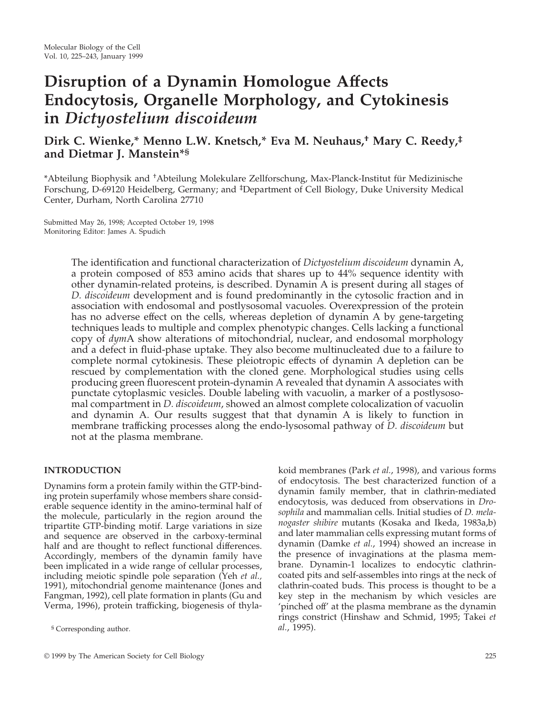# **Disruption of a Dynamin Homologue Affects Endocytosis, Organelle Morphology, and Cytokinesis in** *Dictyostelium discoideum*

# **Dirk C. Wienke,\* Menno L.W. Knetsch,\* Eva M. Neuhaus,† Mary C. Reedy,‡ and Dietmar J. Manstein\*§**

\*Abteilung Biophysik and <sup>+</sup>Abteilung Molekulare Zellforschung, Max-Planck-Institut für Medizinische Forschung, D-69120 Heidelberg, Germany; and ‡ Department of Cell Biology, Duke University Medical Center, Durham, North Carolina 27710

Submitted May 26, 1998; Accepted October 19, 1998 Monitoring Editor: James A. Spudich

> The identification and functional characterization of *Dictyostelium discoideum* dynamin A, a protein composed of 853 amino acids that shares up to 44% sequence identity with other dynamin-related proteins, is described. Dynamin A is present during all stages of *D. discoideum* development and is found predominantly in the cytosolic fraction and in association with endosomal and postlysosomal vacuoles. Overexpression of the protein has no adverse effect on the cells, whereas depletion of dynamin A by gene-targeting techniques leads to multiple and complex phenotypic changes. Cells lacking a functional copy of *dym*A show alterations of mitochondrial, nuclear, and endosomal morphology and a defect in fluid-phase uptake. They also become multinucleated due to a failure to complete normal cytokinesis. These pleiotropic effects of dynamin A depletion can be rescued by complementation with the cloned gene. Morphological studies using cells producing green fluorescent protein-dynamin A revealed that dynamin A associates with punctate cytoplasmic vesicles. Double labeling with vacuolin, a marker of a postlysosomal compartment in *D. discoideum*, showed an almost complete colocalization of vacuolin and dynamin A. Our results suggest that that dynamin A is likely to function in membrane trafficking processes along the endo-lysosomal pathway of *D. discoideum* but not at the plasma membrane.

# **INTRODUCTION**

Dynamins form a protein family within the GTP-binding protein superfamily whose members share considerable sequence identity in the amino-terminal half of the molecule, particularly in the region around the tripartite GTP-binding motif. Large variations in size and sequence are observed in the carboxy-terminal half and are thought to reflect functional differences. Accordingly, members of the dynamin family have been implicated in a wide range of cellular processes, including meiotic spindle pole separation (Yeh *et al.,* 1991), mitochondrial genome maintenance (Jones and Fangman, 1992), cell plate formation in plants (Gu and Verma, 1996), protein trafficking, biogenesis of thylakoid membranes (Park *et al.*, 1998), and various forms of endocytosis. The best characterized function of a dynamin family member, that in clathrin-mediated endocytosis, was deduced from observations in *Drosophila* and mammalian cells. Initial studies of *D. melanogaster shibire* mutants (Kosaka and Ikeda, 1983a,b) and later mammalian cells expressing mutant forms of dynamin (Damke *et al.*, 1994) showed an increase in the presence of invaginations at the plasma membrane. Dynamin-1 localizes to endocytic clathrincoated pits and self-assembles into rings at the neck of clathrin-coated buds. This process is thought to be a key step in the mechanism by which vesicles are 'pinched off' at the plasma membrane as the dynamin rings constrict (Hinshaw and Schmid, 1995; Takei *et*

<sup>&</sup>lt;sup>8</sup> Corresponding author. *al.*, 1995).

<sup>© 1999</sup> by The American Society for Cell Biology 225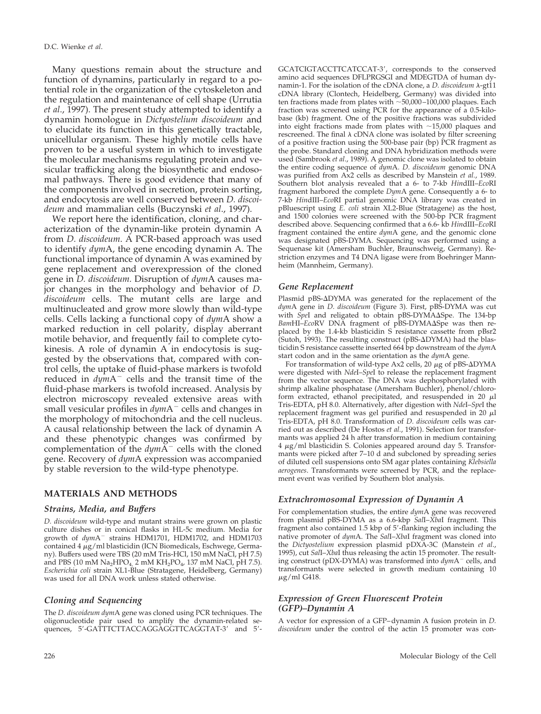Many questions remain about the structure and function of dynamins, particularly in regard to a potential role in the organization of the cytoskeleton and the regulation and maintenance of cell shape (Urrutia *et al*., 1997). The present study attempted to identify a dynamin homologue in *Dictyostelium discoideum* and to elucidate its function in this genetically tractable, unicellular organism. These highly motile cells have proven to be a useful system in which to investigate the molecular mechanisms regulating protein and vesicular trafficking along the biosynthetic and endosomal pathways. There is good evidence that many of the components involved in secretion, protein sorting, and endocytosis are well conserved between *D. discoideum* and mammalian cells (Buczynski *et al*., 1997).

We report here the identification, cloning, and characterization of the dynamin-like protein dynamin A from *D. discoideum*. A PCR-based approach was used to identify *dym*A, the gene encoding dynamin A. The functional importance of dynamin A was examined by gene replacement and overexpression of the cloned gene in *D. discoideum.* Disruption of *dym*A causes major changes in the morphology and behavior of *D. discoideum* cells. The mutant cells are large and multinucleated and grow more slowly than wild-type cells. Cells lacking a functional copy of *dym*A show a marked reduction in cell polarity, display aberrant motile behavior, and frequently fail to complete cytokinesis. A role of dynamin A in endocytosis is suggested by the observations that, compared with control cells, the uptake of fluid-phase markers is twofold reduced in  $\frac{dym}{2}$  cells and the transit time of the fluid-phase markers is twofold increased. Analysis by electron microscopy revealed extensive areas with small vesicular profiles in  $dyn/A^-$  cells and changes in the morphology of mitochondria and the cell nucleus. A causal relationship between the lack of dynamin A and these phenotypic changes was confirmed by complementation of the  $\frac{dymA}{2}$  cells with the cloned gene. Recovery of *dym*A expression was accompanied by stable reversion to the wild-type phenotype.

#### **MATERIALS AND METHODS**

#### *Strains, Media, and Buffers*

*D. discoideum* wild-type and mutant strains were grown on plastic culture dishes or in conical flasks in HL-5c medium. Media for growth of  $dynA^-$  strains HDM1701, HDM1702, and HDM1703 contained 4  $\mu$ g/ml blasticidin (ICN Biomedicals, Eschwege, Germany). Buffers used were TBS (20 mM Tris-HCl, 150 mM NaCl, pH 7.5) and PBS (10 mM  $\text{Na}_2\text{HPO}_4$ , 2 mM  $\text{KH}_2\text{PO}_4$ , 137 mM NaCl, pH 7.5). *Escherichia coli* strain XL1-Blue (Stratagene, Heidelberg, Germany) was used for all DNA work unless stated otherwise.

# *Cloning and Sequencing*

The *D. discoideum dym*A gene was cloned using PCR techniques. The oligonucleotide pair used to amplify the dynamin-related sequences, 5'-GATTTCTTACCAGGAGGTTCAGGTAT-3' and 5'- GCATCIGTACCTTCATCCAT-3', corresponds to the conserved amino acid sequences DFLPRGSGI and MDEGTDA of human dynamin-1. For the isolation of the cDNA clone, a *D. discoideum* λ-gt11 cDNA library (Clontech, Heidelberg, Germany) was divided into ten fractions made from plates with  ${\sim}50$ ,000–100,000 plaques. Each fraction was screened using PCR for the appearance of a 0.5-kilobase (kb) fragment. One of the positive fractions was subdivided into eight fractions made from plates with  $\sim$ 15,000 plaques and rescreened. The final  $\lambda$  cDNA clone was isolated by filter screening of a positive fraction using the 500-base pair (bp) PCR fragment as the probe. Standard cloning and DNA hybridization methods were used (Sambrook *et al*., 1989). A genomic clone was isolated to obtain the entire coding sequence of *dym*A. *D. discoideum* genomic DNA was purified from Ax2 cells as described by Manstein *et al.*, 1989. Southern blot analysis revealed that a 6- to 7-kb *Hin*dIII–*Eco*RI fragment harbored the complete *Dym*A gene. Consequently a 6- to 7-kb *Hin*dIII–*Eco*RI partial genomic DNA library was created in pBluescript using *E. coli* strain XL2-Blue (Stratagene) as the host, and 1500 colonies were screened with the 500-bp PCR fragment described above. Sequencing confirmed that a 6.6- kb *Hin*dIII–*Eco*RI fragment contained the entire *dym*A gene, and the genomic clone was designated pBS-DYMA. Sequencing was performed using a Sequenase kit (Amersham Buchler, Braunschweig, Germany). Restriction enzymes and T4 DNA ligase were from Boehringer Mannheim (Mannheim, Germany).

#### *Gene Replacement*

Plasmid pBS- $\Delta$ DYMA was generated for the replacement of the *dym*A gene in *D. discoideum* (Figure 3). First, pBS-DYMA was cut with *SpeI* and religated to obtain pBS-DYMA $\triangle$ Spe. The 134-bp *Bam*HI–*Eco*RV DNA fragment of pBS-DYMADSpe was then replaced by the 1.4-kb blasticidin S resistance cassette from pBsr2 (Sutoh, 1993). The resulting construct (pBS-DDYMA) had the blasticidin S resistance cassette inserted 664 bp downstream of the *dym*A start codon and in the same orientation as the *dym*A gene.

For transformation of wild-type Ax2 cells, 20  $\mu$ g of pBS- $\Delta$ DYMA were digested with *Nde*I–*Spe*I to release the replacement fragment from the vector sequence. The DNA was dephosphorylated with shrimp alkaline phosphatase (Amersham Buchler), phenol/chloroform extracted, ethanol precipitated, and resuspended in 20  $\mu$ l Tris-EDTA, pH 8.0. Alternatively, after digestion with *Nde*I–*Spe*I the replacement fragment was gel purified and resuspended in 20  $\mu$ l Tris-EDTA, pH 8.0. Transformation of *D. discoideum* cells was carried out as described (De Hostos *et al.*, 1991). Selection for transformants was applied 24 h after transformation in medium containing  $4 \mu$ g/ml blasticidin S. Colonies appeared around day 5. Transformants were picked after 7–10 d and subcloned by spreading series of diluted cell suspensions onto SM agar plates containing *Klebsiella aerogenes*. Transformants were screened by PCR, and the replacement event was verified by Southern blot analysis.

#### *Extrachromosomal Expression of Dynamin A*

For complementation studies, the entire *dym*A gene was recovered from plasmid pBS-DYMA as a 6.6-kbp *Sal*I–*Xba*I fragment. This fragment also contained 1.5 kbp of 5'-flanking region including the native promoter of *dym*A. The *Sal*I–*Xba*I fragment was cloned into the *Dictyostelium* expression plasmid pDXA-3C (Manstein *et al*., 1995), cut *Sal*I–*Xba*I thus releasing the actin 15 promoter. The resulting construct (pDX-DYMA) was transformed into  $dynA^-$  cells, and transformants were selected in growth medium containing 10  $\mu$ g/ml G418.

#### *Expression of Green Fluorescent Protein (GFP)–Dynamin A*

A vector for expression of a GFP–dynamin A fusion protein in *D. discoideum* under the control of the actin 15 promoter was con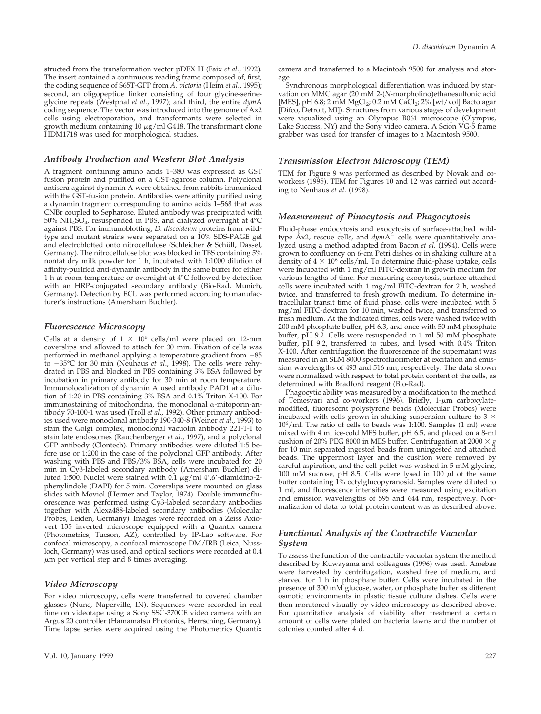structed from the transformation vector pDEX H (Faix *et al.*, 1992). The insert contained a continuous reading frame composed of, first, the coding sequence of S65T-GFP from *A. victoria* (Heim *et al*., 1995); second, an oligopeptide linker consisting of four glycine-serineglycine repeats (Westphal *et al.*, 1997); and third, the entire *dym*A coding sequence. The vector was introduced into the genome of Ax2 cells using electroporation, and transformants were selected in growth medium containing  $10 \mu g/ml$  G418. The transformant clone HDM1718 was used for morphological studies.

#### *Antibody Production and Western Blot Analysis*

A fragment containing amino acids 1–380 was expressed as GST fusion protein and purified on a GST-agarose column. Polyclonal antisera against dynamin A were obtained from rabbits immunized with the GST-fusion protein. Antibodies were affinity purified using a dynamin fragment corresponding to amino acids 1–568 that was CNBr coupled to Sepharose. Eluted antibody was precipitated with 50% NH4SO4, resuspended in PBS, and dialyzed overnight at 4°C against PBS. For immunoblotting, *D. discoideum* proteins from wildtype and mutant strains were separated on a 10% SDS-PAGE gel and electroblotted onto nitrocellulose (Schleicher & Schüll, Dassel, Germany). The nitrocellulose blot was blocked in TBS containing 5% nonfat dry milk powder for 1 h, incubated with 1:1000 dilution of affinity-purified anti-dynamin antibody in the same buffer for either 1 h at room temperature or overnight at 4°C followed by detection with an HRP-conjugated secondary antibody (Bio-Rad, Munich, Germany). Detection by ECL was performed according to manufacturer's instructions (Amersham Buchler).

#### *Fluorescence Microscopy*

Cells at a density of  $1 \times 10^6$  cells/ml were placed on 12-mm coverslips and allowed to attach for 30 min. Fixation of cells was performed in methanol applying a temperature gradient from  $-85$ to 235°C for 30 min (Neuhaus *et al*., 1998). The cells were rehydrated in PBS and blocked in PBS containing 3% BSA followed by incubation in primary antibody for 30 min at room temperature. Immunolocalization of dynamin A used antibody PAD1 at a dilution of 1:20 in PBS containing 3% BSA and 0.1% Triton X-100. For immunostaining of mitochondria, the monoclonal  $\alpha$ -mitoporin-antibody 70-100-1 was used (Troll *et al*., 1992). Other primary antibodies used were monoclonal antibody 190-340-8 (Weiner *et al*., 1993) to stain the Golgi complex, monoclonal vacuolin antibody 221-1-1 to stain late endosomes (Rauchenberger *et al*., 1997), and a polyclonal GFP antibody (Clontech). Primary antibodies were diluted 1:5 before use or 1:200 in the case of the polyclonal GFP antibody. After washing with PBS and PBS/3% BSA, cells were incubated for 20 min in Cy3-labeled secondary antibody (Amersham Buchler) diluted 1:500. Nuclei were stained with 0.1  $\mu$ g/ml 4',6'-diamidino-2phenylindole (DAPI) for 5 min. Coverslips were mounted on glass slides with Moviol (Heimer and Taylor, 1974). Double immunofluorescence was performed using Cy3-labeled secondary antibodies together with Alexa488-labeled secondary antibodies (Molecular Probes, Leiden, Germany). Images were recorded on a Zeiss Axiovert 135 inverted microscope equipped with a Quantix camera (Photometrics, Tucson, AZ), controlled by IP-Lab software. For confocal microscopy, a confocal microscope DM/IRB (Leica, Nussloch, Germany) was used, and optical sections were recorded at 0.4  $\mu$ m per vertical step and 8 times averaging.

#### *Video Microscopy*

For video microscopy, cells were transferred to covered chamber glasses (Nunc, Naperville, IN). Sequences were recorded in real time on videotape using a Sony SSC-370CE video camera with an Argus 20 controller (Hamamatsu Photonics, Herrsching, Germany). Time lapse series were acquired using the Photometrics Quantix camera and transferred to a Macintosh 9500 for analysis and storage.

Synchronous morphological differentiation was induced by starvation on MMC agar (20 mM 2-(*N*-morpholino)ethanesulfonic acid [MES], pH 6.8; 2 mM MgCl<sub>2</sub>; 0.2 mM CaCl<sub>2</sub>; 2% [wt/vol] Bacto agar [Difco, Detroit, MI]). Structures from various stages of development were visualized using an Olympus B061 microscope (Olympus, Lake Success, NY) and the Sony video camera. A Scion VG-5 frame grabber was used for transfer of images to a Macintosh 9500.

#### *Transmission Electron Microscopy (TEM)*

TEM for Figure 9 was performed as described by Novak and coworkers (1995). TEM for Figures 10 and 12 was carried out according to Neuhaus *et al*. (1998).

#### *Measurement of Pinocytosis and Phagocytosis*

Fluid-phase endocytosis and exocytosis of surface-attached wildtype  $\overline{A}x2$ , rescue cells, and  $\frac{d\psi}{2}$  cells were quantitatively analyzed using a method adapted from Bacon *et al.* (1994). Cells were grown to confluency on 6-cm Petri dishes or in shaking culture at a density of  $4 \times 10^6$  cells/ml. To determine fluid-phase uptake, cells were incubated with 1 mg/ml FITC-dextran in growth medium for various lengths of time. For measuring exocytosis, surface-attached cells were incubated with 1 mg/ml FITC-dextran for 2 h, washed twice, and transferred to fresh growth medium. To determine intracellular transit time of fluid phase, cells were incubated with 5 mg/ml FITC-dextran for 10 min, washed twice, and transferred to fresh medium. At the indicated times, cells were washed twice with 200 mM phosphate buffer, pH 6.3, and once with 50 mM phosphate buffer, pH 9.2. Cells were resuspended in 1 ml 50 mM phosphate buffer, pH 9.2, transferred to tubes, and lysed with 0.4% Triton X-100. After centrifugation the fluorescence of the supernatant was measured in an SLM 8000 spectrofluorimeter at excitation and emission wavelengths of 493 and 516 nm, respectively. The data shown were normalized with respect to total protein content of the cells, as determined with Bradford reagent (Bio-Rad).

Phagocytic ability was measured by a modification to the method of Temesvari and co-workers (1996). Briefly, 1- $\mu$ m carboxylatemodified, fluorescent polystyrene beads (Molecular Probes) were incubated with cells grown in shaking suspension culture to 3  $\times$ 106 /ml. The ratio of cells to beads was 1:100. Samples (1 ml) were mixed with 4 ml ice-cold MES buffer, pH 6.5, and placed on a 8-ml cushion of 20% PEG 8000 in MES buffer. Centrifugation at 2000  $\times g$ for 10 min separated ingested beads from uningested and attached beads. The uppermost layer and the cushion were removed by careful aspiration, and the cell pellet was washed in 5 mM glycine, 100 mM sucrose, pH 8.5. Cells were lysed in 100  $\mu$ l of the same buffer containing 1% octylglucopyranosid. Samples were diluted to 1 ml, and fluorescence intensities were measured using excitation and emission wavelengths of 595 and 644 nm, respectively. Normalization of data to total protein content was as described above.

#### *Functional Analysis of the Contractile Vacuolar System*

To assess the function of the contractile vacuolar system the method described by Kuwayama and colleagues (1996) was used. Amebae were harvested by centrifugation, washed free of medium, and starved for 1 h in phosphate buffer. Cells were incubated in the presence of 300 mM glucose, water, or phosphate buffer as different osmotic environments in plastic tissue culture dishes. Cells were then monitored visually by video microscopy as described above. For quantitative analysis of viability after treatment a certain amount of cells were plated on bacteria lawns and the number of colonies counted after 4 d.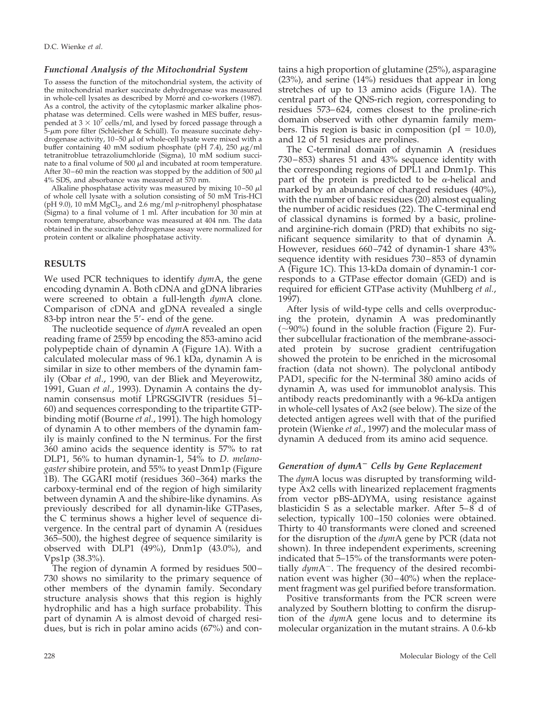#### *Functional Analysis of the Mitochondrial System*

To assess the function of the mitochondrial system, the activity of the mitochondrial marker succinate dehydrogenase was measured in whole-cell lysates as described by Morré and co-workers (1987). As a control, the activity of the cytoplasmic marker alkaline phosphatase was determined. Cells were washed in MES buffer, resuspended at  $3 \times 10^7$  cells/ml, and lysed by forced passage through a  $\bar{5}$ - $\mu$ m pore filter (Schleicher & Schüll). To measure succinate dehydrogenase activity,  $10-50 \mu l$  of whole-cell lysate were mixed with a buffer containing 40 mM sodium phosphate (pH 7.4), 250  $\mu$ g/ml tetranitroblue tetrazoliumchloride (Sigma), 10 mM sodium succinate to a final volume of 500  $\mu$ l and incubated at room temperature. After 30–60 min the reaction was stopped by the addition of 500  $\mu$ l 4% SDS, and absorbance was measured at 570 nm.

Alkaline phosphatase activity was measured by mixing  $10-50 \mu$ l of whole cell lysate with a solution consisting of 50 mM Tris-HCl (pH 9.0), 10 mM MgCl<sub>2</sub>, and 2.6 mg/ml *p*-nitrophenyl phosphatase (Sigma) to a final volume of 1 ml. After incubation for 30 min at room temperature, absorbance was measured at 404 nm. The data obtained in the succinate dehydrogenase assay were normalized for protein content or alkaline phosphatase activity.

## **RESULTS**

We used PCR techniques to identify *dym*A, the gene encoding dynamin A. Both cDNA and gDNA libraries were screened to obtain a full-length *dym*A clone. Comparison of cDNA and gDNA revealed a single 83-bp intron near the  $5'$ - end of the gene.

The nucleotide sequence of *dym*A revealed an open reading frame of 2559 bp encoding the 853-amino acid polypeptide chain of dynamin A (Figure 1A). With a calculated molecular mass of 96.1 kDa, dynamin A is similar in size to other members of the dynamin family (Obar *et al.*, 1990, van der Bliek and Meyerowitz, 1991, Guan *et al.*, 1993). Dynamin A contains the dynamin consensus motif LPRGSGIVTR (residues 51– 60) and sequences corresponding to the tripartite GTPbinding motif (Bourne *et al.*, 1991). The high homology of dynamin A to other members of the dynamin family is mainly confined to the N terminus. For the first 360 amino acids the sequence identity is 57% to rat DLP1, 56% to human dynamin-1, 54% to *D. melanogaster* shibire protein, and 55% to yeast Dnm1p (Figure 1B). The GGARI motif (residues 360–364) marks the carboxy-terminal end of the region of high similarity between dynamin A and the shibire-like dynamins. As previously described for all dynamin-like GTPases, the C terminus shows a higher level of sequence divergence. In the central part of dynamin A (residues 365–500), the highest degree of sequence similarity is observed with DLP1 (49%), Dnm1p (43.0%), and Vps1p (38.3%).

The region of dynamin A formed by residues 500– 730 shows no similarity to the primary sequence of other members of the dynamin family. Secondary structure analysis shows that this region is highly hydrophilic and has a high surface probability. This part of dynamin A is almost devoid of charged residues, but is rich in polar amino acids (67%) and contains a high proportion of glutamine (25%), asparagine (23%), and serine (14%) residues that appear in long stretches of up to 13 amino acids (Figure 1A). The central part of the QNS-rich region, corresponding to residues 573–624, comes closest to the proline-rich domain observed with other dynamin family members. This region is basic in composition ( $pI = 10.0$ ), and 12 of 51 residues are prolines.

The C-terminal domain of dynamin A (residues 730–853) shares 51 and 43% sequence identity with the corresponding regions of DPL1 and Dnm1p. This part of the protein is predicted to be  $\alpha$ -helical and marked by an abundance of charged residues (40%), with the number of basic residues (20) almost equaling the number of acidic residues (22). The C-terminal end of classical dynamins is formed by a basic, prolineand arginine-rich domain (PRD) that exhibits no significant sequence similarity to that of dynamin A. However, residues 660–742 of dynamin-1 share 43% sequence identity with residues 730–853 of dynamin A (Figure 1C). This 13-kDa domain of dynamin-1 corresponds to a GTPase effector domain (GED) and is required for efficient GTPase activity (Muhlberg *et al.*, 1997).

After lysis of wild-type cells and cells overproducing the protein, dynamin A was predominantly  $(\sim 90\%)$  found in the soluble fraction (Figure 2). Further subcellular fractionation of the membrane-associated protein by sucrose gradient centrifugation showed the protein to be enriched in the microsomal fraction (data not shown). The polyclonal antibody PAD1, specific for the N-terminal 380 amino acids of dynamin A, was used for immunoblot analysis. This antibody reacts predominantly with a 96-kDa antigen in whole-cell lysates of Ax2 (see below). The size of the detected antigen agrees well with that of the purified protein (Wienke *et al.*, 1997) and the molecular mass of dynamin A deduced from its amino acid sequence.

# *Generation of dymA*<sup>-</sup> *Cells by Gene Replacement*

The *dym*A locus was disrupted by transforming wildtype Ax2 cells with linearized replacement fragments from vector pBS-DDYMA, using resistance against blasticidin S as a selectable marker. After 5–8 d of selection, typically 100–150 colonies were obtained. Thirty to 40 transformants were cloned and screened for the disruption of the *dym*A gene by PCR (data not shown). In three independent experiments, screening indicated that 5–15% of the transformants were potentially *dymA<sup>-</sup>*. The frequency of the desired recombination event was higher (30–40%) when the replacement fragment was gel purified before transformation.

Positive transformants from the PCR screen were analyzed by Southern blotting to confirm the disruption of the *dym*A gene locus and to determine its molecular organization in the mutant strains. A 0.6-kb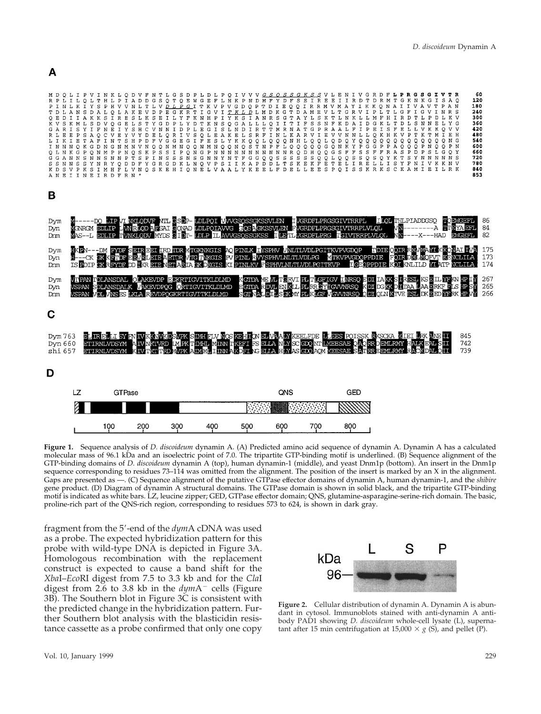A



**Figure 1.** Sequence analysis of *D. discoideum* dynamin A. (A) Predicted amino acid sequence of dynamin A. Dynamin A has a calculated molecular mass of 96.1 kDa and an isoelectric point of 7.0. The tripartite GTP-binding motif is underlined. (B) Sequence alignment of the GTP-binding domains of *D. discoideum* dynamin A (top), human dynamin-1 (middle), and yeast Dnm1p (bottom). An insert in the Dnm1p sequence corresponding to residues 73–114 was omitted from the alignment. The position of the insert is marked by an X in the alignment. Gaps are presented as —. (C) Sequence alignment of the putative GTPase effector domains of dynamin A, human dynamin-1, and the *shibire* gene product. (D) Diagram of dynamin A structural domains. The GTPase domain is shown in solid black, and the tripartite GTP-binding motif is indicated as white bars. LZ, leucine zipper; GED, GTPase effector domain; QNS, glutamine-asparagine-serine-rich domain. The basic, proline-rich part of the QNS-rich region, corresponding to residues 573 to 624, is shown in dark gray.

fragment from the 5'-end of the  $dymA$  cDNA was used as a probe. The expected hybridization pattern for this probe with wild-type DNA is depicted in Figure 3A. Homologous recombination with the replacement construct is expected to cause a band shift for the *Xba*I–*Eco*RI digest from 7.5 to 3.3 kb and for the *Cla*I digest from 2.6 to 3.8 kb in the  $\text{dymA}^-$  cells (Figure 3B). The Southern blot in Figure 3C is consistent with the predicted change in the hybridization pattern. Further Southern blot analysis with the blasticidin resistance cassette as a probe confirmed that only one copy



**Figure 2.** Cellular distribution of dynamin A. Dynamin A is abundant in cytosol. Immunoblots stained with anti-dynamin A antibody PAD1 showing *D. discoideum* whole-cell lysate (L), supernatant after 15 min centrifugation at 15,000  $\times$  *g* (S), and pellet (P).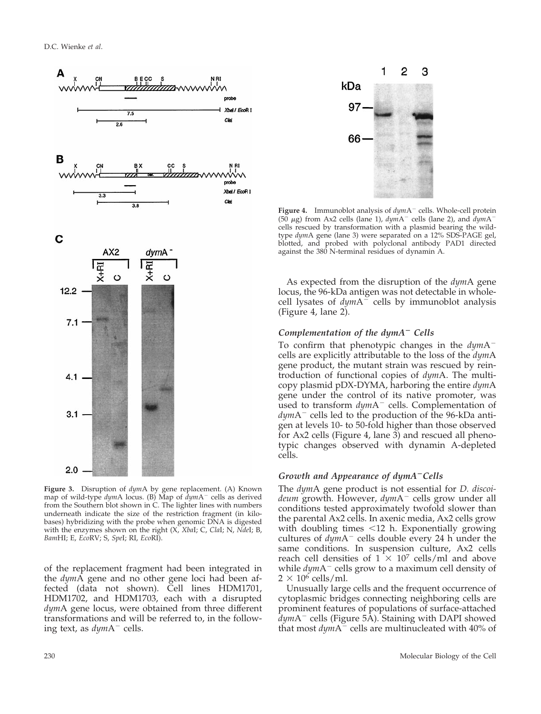

**Figure 3.** Disruption of *dym*A by gene replacement. (A) Known map of wild-type dymA locus. (B) Map of  $\partial y$ mA<sup>-</sup> cells as derived from the Southern blot shown in C. The lighter lines with numbers underneath indicate the size of the restriction fragment (in kilobases) hybridizing with the probe when genomic DNA is digested with the enzymes shown on the right (X, *Xba*I; C, *Cla*I; N, *Nde*I; B, *Bam*HI; E, *Eco*RV; S, *Spe*I; RI, *Eco*RI).

of the replacement fragment had been integrated in the *dym*A gene and no other gene loci had been affected (data not shown). Cell lines HDM1701, HDM1702, and HDM1703, each with a disrupted *dym*A gene locus, were obtained from three different transformations and will be referred to, in the following text, as  $dyn<sup>-</sup>$  cells.



**Figure 4.** Immunoblot analysis of  $dyn<sup>n</sup>A<sup>-</sup>$  cells. Whole-cell protein (50  $\mu$ g) from Ax2 cells (lane 1),  $dynA^-$  cells (lane 2), and  $dynA^$ cells rescued by transformation with a plasmid bearing the wildtype *dym*A gene (lane 3) were separated on a 12% SDS-PAGE gel, blotted, and probed with polyclonal antibody PAD1 directed against the 380 N-terminal residues of dynamin A.

As expected from the disruption of the *dym*A gene locus, the 96-kDa antigen was not detectable in wholecell lysates of  $dyn<sup>-</sup>$  cells by immunoblot analysis (Figure 4, lane 2).

#### *Complementation of the dymA*<sup>-</sup> *Cells*

To confirm that phenotypic changes in the  $dynA^$ cells are explicitly attributable to the loss of the *dym*A gene product, the mutant strain was rescued by reintroduction of functional copies of *dym*A. The multicopy plasmid pDX-DYMA, harboring the entire *dym*A gene under the control of its native promoter, was used to transform  $dynA^-$  cells. Complementation of dymA<sup>-</sup> cells led to the production of the 96-kDa antigen at levels 10- to 50-fold higher than those observed for Ax2 cells (Figure 4, lane 3) and rescued all phenotypic changes observed with dynamin A-depleted cells.

#### *Growth and Appearance of dymA<sup>-</sup>Cells*

The *dym*A gene product is not essential for *D. discoideum* growth. However,  $dymA^-$  cells grow under all conditions tested approximately twofold slower than the parental Ax2 cells. In axenic media, Ax2 cells grow with doubling times  $<$ 12 h. Exponentially growing cultures of  $dyn/A^-$  cells double every 24 h under the same conditions. In suspension culture, Ax2 cells reach cell densities of  $1 \times 10^7$  cells/ml and above while  $\frac{dym}{2}$  cells grow to a maximum cell density of  $2 \times 10^6$  cells/ml.

Unusually large cells and the frequent occurrence of cytoplasmic bridges connecting neighboring cells are prominent features of populations of surface-attached dymA<sup>-</sup> cells (Figure 5A). Staining with DAPI showed that most  $dynA^-$  cells are multinucleated with  $40\%$  of

 $2.0$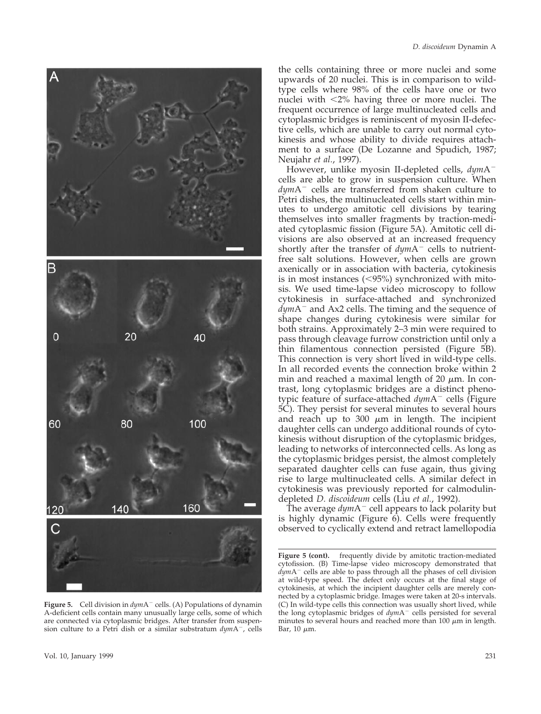

Figure 5. Cell division in  $dynA^-$  cells. (A) Populations of dynamin A-deficient cells contain many unusually large cells, some of which are connected via cytoplasmic bridges. After transfer from suspension culture to a Petri dish or a similar substratum  $\frac{dym}{2}$ , cells

the cells containing three or more nuclei and some upwards of 20 nuclei. This is in comparison to wildtype cells where 98% of the cells have one or two nuclei with  $\langle 2\%$  having three or more nuclei. The frequent occurrence of large multinucleated cells and cytoplasmic bridges is reminiscent of myosin II-defective cells, which are unable to carry out normal cytokinesis and whose ability to divide requires attachment to a surface (De Lozanne and Spudich, 1987; Neujahr *et al.*, 1997).

However, unlike myosin II-depleted cells,  $dynA^$ cells are able to grow in suspension culture. When dymA<sup>-</sup> cells are transferred from shaken culture to Petri dishes, the multinucleated cells start within minutes to undergo amitotic cell divisions by tearing themselves into smaller fragments by traction-mediated cytoplasmic fission (Figure 5A). Amitotic cell divisions are also observed at an increased frequency shortly after the transfer of  $\frac{d\psi}{dx}$  cells to nutrientfree salt solutions. However, when cells are grown axenically or in association with bacteria, cytokinesis is in most instances  $(< 95\%)$  synchronized with mitosis. We used time-lapse video microscopy to follow cytokinesis in surface-attached and synchronized *dymA*<sup>-</sup> and Ax2 cells. The timing and the sequence of shape changes during cytokinesis were similar for both strains. Approximately 2–3 min were required to pass through cleavage furrow constriction until only a thin filamentous connection persisted (Figure 5B). This connection is very short lived in wild-type cells. In all recorded events the connection broke within 2 min and reached a maximal length of 20  $\mu$ m. In contrast, long cytoplasmic bridges are a distinct phenotypic feature of surface-attached  $dyn/A^-$  cells (Figure 5C). They persist for several minutes to several hours and reach up to 300  $\mu$ m in length. The incipient daughter cells can undergo additional rounds of cytokinesis without disruption of the cytoplasmic bridges, leading to networks of interconnected cells. As long as the cytoplasmic bridges persist, the almost completely separated daughter cells can fuse again, thus giving rise to large multinucleated cells. A similar defect in cytokinesis was previously reported for calmodulindepleted *D. discoideum* cells (Liu *et al.*, 1992).

The average  $dyn<sup>-</sup>$  cell appears to lack polarity but is highly dynamic (Figure 6). Cells were frequently observed to cyclically extend and retract lamellopodia

Figure 5 (cont). frequently divide by amitotic traction-mediated cytofission. (B) Time-lapse video microscopy demonstrated that *dym*A<sup>2</sup> cells are able to pass through all the phases of cell division at wild-type speed. The defect only occurs at the final stage of cytokinesis, at which the incipient daughter cells are merely connected by a cytoplasmic bridge. Images were taken at 20-s intervals. (C) In wild-type cells this connection was usually short lived, while the long cytoplasmic bridges of  $dynA^-$  cells persisted for several minutes to several hours and reached more than 100  $\mu$ m in length. Bar,  $10 \mu m$ .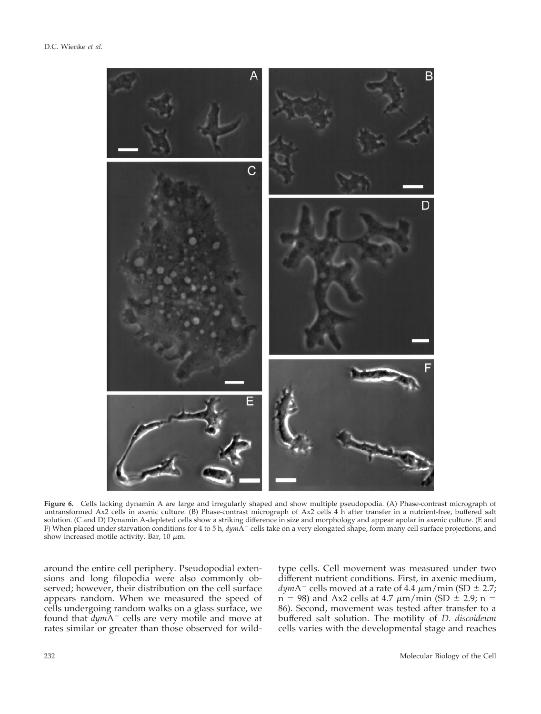

**Figure 6.** Cells lacking dynamin A are large and irregularly shaped and show multiple pseudopodia. (A) Phase-contrast micrograph of untransformed Ax2 cells in axenic culture. (B) Phase-contrast micrograph of Ax2 cells 4 h after transfer in a nutrient-free, buffered salt solution. (C and D) Dynamin A-depleted cells show a striking difference in size and morphology and appear apolar in axenic culture. (E and F) When placed under starvation conditions for 4 to 5 h,  $dyn<sup>−</sup>$  cells take on a very elongated shape, form many cell surface projections, and show increased motile activity. Bar, 10  $\mu$ m.

around the entire cell periphery. Pseudopodial extensions and long filopodia were also commonly observed; however, their distribution on the cell surface appears random. When we measured the speed of cells undergoing random walks on a glass surface, we found that  $dynA^-$  cells are very motile and move at rates similar or greater than those observed for wildtype cells. Cell movement was measured under two different nutrient conditions. First, in axenic medium, *dym*A<sup>-</sup> cells moved at a rate of 4.4  $\mu$ m/min (SD  $\pm$  2.7;  $n = 98$ ) and Ax2 cells at 4.7  $\mu$ m/min (SD  $\pm$  2.9; n = 86). Second, movement was tested after transfer to a buffered salt solution. The motility of *D. discoideum* cells varies with the developmental stage and reaches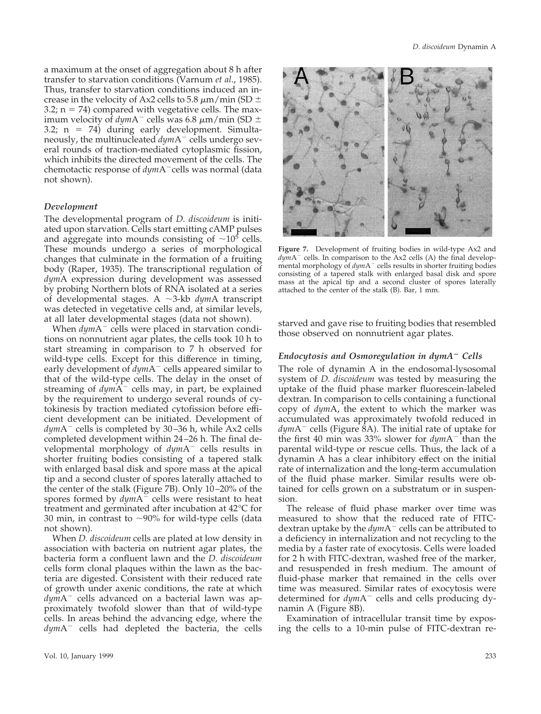a maximum at the onset of aggregation about 8 h after transfer to starvation conditions (Varnum *et al*., 1985). Thus, transfer to starvation conditions induced an increase in the velocity of Ax2 cells to 5.8  $\mu$ m/min (SD  $\pm$ 3.2;  $n = 74$ ) compared with vegetative cells. The maximum velocity of  $dyn/A$ <sup>-</sup> cells was 6.8  $\mu$ m/min (SD  $\pm$ 3.2;  $n = 74$ ) during early development. Simultaneously, the multinucleated  $dyn<sub>2</sub>$ <sup>-</sup> cells undergo several rounds of traction-mediated cytoplasmic fission, which inhibits the directed movement of the cells. The chemotactic response of  $dymA^-$ cells was normal (data not shown).

#### *Development*

The developmental program of *D. discoideum* is initiated upon starvation. Cells start emitting cAMP pulses and aggregate into mounds consisting of  $\sim 10^5$  cells. These mounds undergo a series of morphological changes that culminate in the formation of a fruiting body (Raper, 1935). The transcriptional regulation of *dym*A expression during development was assessed by probing Northern blots of RNA isolated at a series of developmental stages. A  $\sim$ 3-kb *dymA* transcript was detected in vegetative cells and, at similar levels, at all later developmental stages (data not shown).

When  $\frac{d\psi}{A}$ <sup>-</sup> cells were placed in starvation conditions on nonnutrient agar plates, the cells took 10 h to start streaming in comparison to 7 h observed for wild-type cells. Except for this difference in timing, early development of  $dynA^-$  cells appeared similar to that of the wild-type cells. The delay in the onset of streaming of  $dyn/\tilde{A}^-$  cells may, in part, be explained by the requirement to undergo several rounds of cytokinesis by traction mediated cytofission before efficient development can be initiated. Development of dymA<sup>-</sup> cells is completed by 30–36 h, while Ax2 cells completed development within 24–26 h. The final developmental morphology of  $dyn/A^-$  cells results in shorter fruiting bodies consisting of a tapered stalk with enlarged basal disk and spore mass at the apical tip and a second cluster of spores laterally attached to the center of the stalk (Figure 7B). Only 10–20% of the spores formed by  $dynA<sup>-</sup>$  cells were resistant to heat treatment and germinated after incubation at 42°C for 30 min, in contrast to  $\sim$ 90% for wild-type cells (data not shown).

When *D. discoideum* cells are plated at low density in association with bacteria on nutrient agar plates, the bacteria form a confluent lawn and the *D. discoideum* cells form clonal plaques within the lawn as the bacteria are digested. Consistent with their reduced rate of growth under axenic conditions, the rate at which dymA<sup>-</sup> cells advanced on a bacterial lawn was approximately twofold slower than that of wild-type cells. In areas behind the advancing edge, where the dymA<sup>-</sup> cells had depleted the bacteria, the cells



**Figure 7.** Development of fruiting bodies in wild-type Ax2 and dymA<sup>-</sup> cells. In comparison to the Ax2 cells (A) the final developmental morphology of  $dynA^-$  cells results in shorter fruiting bodies consisting of a tapered stalk with enlarged basal disk and spore mass at the apical tip and a second cluster of spores laterally attached to the center of the stalk (B). Bar, 1 mm.

starved and gave rise to fruiting bodies that resembled those observed on nonnutrient agar plates.

#### *Endocytosis and Osmoregulation in dymA*<sup>-</sup> *Cells*

The role of dynamin A in the endosomal-lysosomal system of *D. discoideum* was tested by measuring the uptake of the fluid phase marker fluorescein-labeled dextran. In comparison to cells containing a functional copy of *dym*A, the extent to which the marker was accumulated was approximately twofold reduced in dymA<sup>-</sup> cells (Figure 8A). The initial rate of uptake for the first 40 min was 33% slower for  $\frac{dym}{A}$  than the parental wild-type or rescue cells. Thus, the lack of a dynamin A has a clear inhibitory effect on the initial rate of internalization and the long-term accumulation of the fluid phase marker. Similar results were obtained for cells grown on a substratum or in suspension.

The release of fluid phase marker over time was measured to show that the reduced rate of FITCdextran uptake by the  $dynA^-$  cells can be attributed to a deficiency in internalization and not recycling to the media by a faster rate of exocytosis. Cells were loaded for 2 h with FITC-dextran, washed free of the marker, and resuspended in fresh medium. The amount of fluid-phase marker that remained in the cells over time was measured. Similar rates of exocytosis were determined for  $dynA^-$  cells and cells producing dynamin A (Figure 8B).

Examination of intracellular transit time by exposing the cells to a 10-min pulse of FITC-dextran re-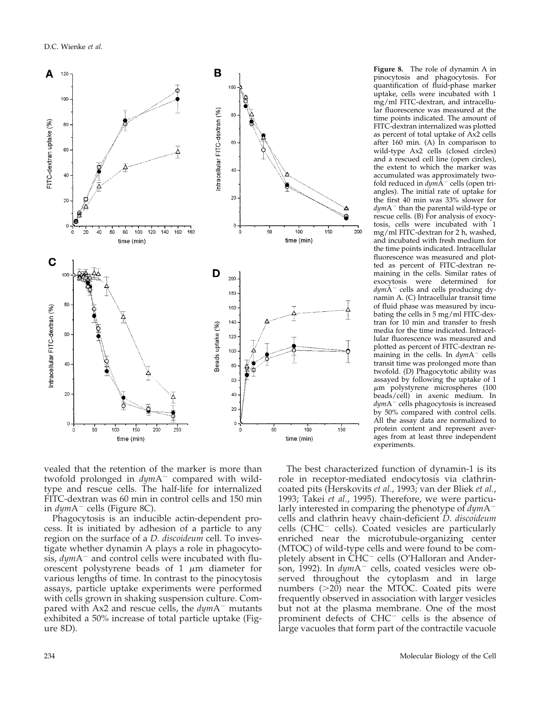

vealed that the retention of the marker is more than twofold prolonged in  $dynA^-$  compared with wildtype and rescue cells. The half-life for internalized FITC-dextran was 60 min in control cells and 150 min in  $dyn<sup>-</sup>$  cells (Figure 8C).

Phagocytosis is an inducible actin-dependent process. It is initiated by adhesion of a particle to any region on the surface of a *D. discoideum* cell. To investigate whether dynamin A plays a role in phagocytosis,  $dyn<sup>-</sup>$  and control cells were incubated with fluorescent polystyrene beads of 1  $\mu$ m diameter for various lengths of time. In contrast to the pinocytosis assays, particle uptake experiments were performed with cells grown in shaking suspension culture. Compared with Ax2 and rescue cells, the  $\frac{dym}{A^-}$  mutants exhibited a 50% increase of total particle uptake (Figure 8D).

**Figure 8.** The role of dynamin A in pinocytosis and phagocytosis. For quantification of fluid-phase marker uptake, cells were incubated with 1 mg/ml FITC-dextran, and intracellular fluorescence was measured at the time points indicated. The amount of FITC-dextran internalized was plotted as percent of total uptake of Ax2 cells after 160 min. (A) In comparison to wild-type Ax2 cells (closed circles) and a rescued cell line (open circles), the extent to which the marker was accumulated was approximately twofold reduced in  $\frac{d\psi}{dA}$ <sup>-</sup> cells (open triangles). The initial rate of uptake for the first 40 min was 33% slower for dymA<sup>-</sup> than the parental wild-type or rescue cells. (B) For analysis of exocytosis, cells were incubated with 1 mg/ml FITC-dextran for 2 h, washed, and incubated with fresh medium for the time points indicated. Intracellular fluorescence was measured and plotted as percent of FITC-dextran remaining in the cells. Similar rates of exocytosis were determined for dymA<sup>-</sup> cells and cells producing dynamin A. (C) Intracellular transit time of fluid phase was measured by incubating the cells in 5 mg/ml FITC-dextran for 10 min and transfer to fresh media for the time indicated. Intracellular fluorescence was measured and plotted as percent of FITC-dextran remaining in the cells. In  $dymA^-$  cells transit time was prolonged more than twofold. (D) Phagocytotic ability was assayed by following the uptake of 1  $\mu$ m polystyrene microspheres (100 beads/cell) in axenic medium. In dymA<sup>-</sup> cells phagocytosis is increased by 50% compared with control cells. All the assay data are normalized to protein content and represent averages from at least three independent experiments.

The best characterized function of dynamin-1 is its role in receptor-mediated endocytosis via clathrincoated pits (Herskovits *et al.*, 1993; van der Bliek *et al.*, 1993; Takei *et al.*, 1995). Therefore, we were particularly interested in comparing the phenotype of  $\frac{d\psi}{dx}$ <sup>-</sup> cells and clathrin heavy chain-deficient *D. discoideum*  $cells (CHC<sup>-</sup> cells)$ . Coated vesicles are particularly enriched near the microtubule-organizing center (MTOC) of wild-type cells and were found to be completely absent in  $CHC^-$  cells (O'Halloran and Anderson, 1992). In  $dynA^-$  cells, coated vesicles were observed throughout the cytoplasm and in large numbers  $(>=20)$  near the MTOC. Coated pits were frequently observed in association with larger vesicles but not at the plasma membrane. One of the most prominent defects of  $CHC<sup>-</sup>$  cells is the absence of large vacuoles that form part of the contractile vacuole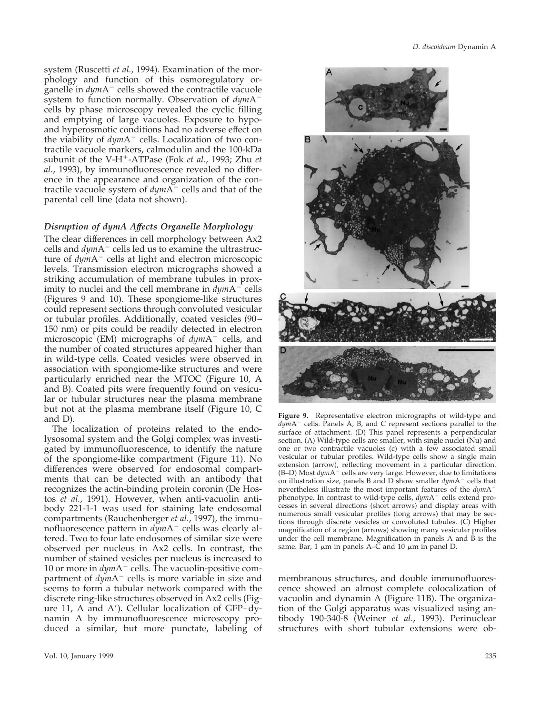system (Ruscetti *et al.*, 1994). Examination of the morphology and function of this osmoregulatory organelle in  $\frac{d}{dx}$  cells showed the contractile vacuole system to function normally. Observation of  $\frac{d\psi}{dx}$ <sup>-</sup> cells by phase microscopy revealed the cyclic filling and emptying of large vacuoles. Exposure to hypoand hyperosmotic conditions had no adverse effect on the viability of  $dymA^-$  cells. Localization of two contractile vacuole markers, calmodulin and the 100-kDa subunit of the V-H<sup>+</sup>-ATPase (Fok *et al.*, 1993; Zhu *et al.*, 1993), by immunofluorescence revealed no difference in the appearance and organization of the contractile vacuole system of  $dynA^{\dagger}$  cells and that of the parental cell line (data not shown).

## *Disruption of dymA Affects Organelle Morphology*

The clear differences in cell morphology between Ax2 cells and  $dyn/A^-$  cells led us to examine the ultrastructure of  $dyn/A^-$  cells at light and electron microscopic levels. Transmission electron micrographs showed a striking accumulation of membrane tubules in proximity to nuclei and the cell membrane in  $\frac{d\psi}{dA}$  cells (Figures 9 and 10). These spongiome-like structures could represent sections through convoluted vesicular or tubular profiles. Additionally, coated vesicles (90– 150 nm) or pits could be readily detected in electron microscopic (EM) micrographs of  $dymA^-$  cells, and the number of coated structures appeared higher than in wild-type cells. Coated vesicles were observed in association with spongiome-like structures and were particularly enriched near the MTOC (Figure 10, A and B). Coated pits were frequently found on vesicular or tubular structures near the plasma membrane but not at the plasma membrane itself (Figure 10, C and D).

The localization of proteins related to the endolysosomal system and the Golgi complex was investigated by immunofluorescence, to identify the nature of the spongiome-like compartment (Figure 11). No differences were observed for endosomal compartments that can be detected with an antibody that recognizes the actin-binding protein coronin (De Hostos *et al.*, 1991). However, when anti-vacuolin antibody 221-1-1 was used for staining late endosomal compartments (Rauchenberger *et al.*, 1997), the immunofluorescence pattern in  $\frac{dym}{A}$  cells was clearly altered. Two to four late endosomes of similar size were observed per nucleus in Ax2 cells. In contrast, the number of stained vesicles per nucleus is increased to 10 or more in  $\frac{d\psi}{A}$  cells. The vacuolin-positive compartment of  $dyn/A^-$  cells is more variable in size and seems to form a tubular network compared with the discrete ring-like structures observed in Ax2 cells (Figure 11, A and A'). Cellular localization of  $GFP-dy$ namin A by immunofluorescence microscopy produced a similar, but more punctate, labeling of



**Figure 9.** Representative electron micrographs of wild-type and dymA<sup>-</sup> cells. Panels A, B, and C represent sections parallel to the surface of attachment. (D) This panel represents a perpendicular section. (A) Wild-type cells are smaller, with single nuclei (Nu) and one or two contractile vacuoles (c) with a few associated small vesicular or tubular profiles. Wild-type cells show a single main extension (arrow), reflecting movement in a particular direction. (B–D) Most  $dynA^-$  cells are very large. However, due to limitations on illustration size, panels B and D show smaller  $\frac{d}{dm}A^-$  cells that nevertheless illustrate the most important features of the  $dyn/A$ <sup>-</sup> phenotype. In contrast to wild-type cells,  $\frac{d}{dx}A^{-}$  cells extend processes in several directions (short arrows) and display areas with numerous small vesicular profiles (long arrows) that may be sections through discrete vesicles or convoluted tubules. (C) Higher magnification of a region (arrows) showing many vesicular profiles under the cell membrane. Magnification in panels A and B is the same. Bar, 1  $\mu$ m in panels A–C and 10  $\mu$ m in panel D.

membranous structures, and double immunofluorescence showed an almost complete colocalization of vacuolin and dynamin A (Figure 11B). The organization of the Golgi apparatus was visualized using antibody 190-340-8 (Weiner *et al.*, 1993). Perinuclear structures with short tubular extensions were ob-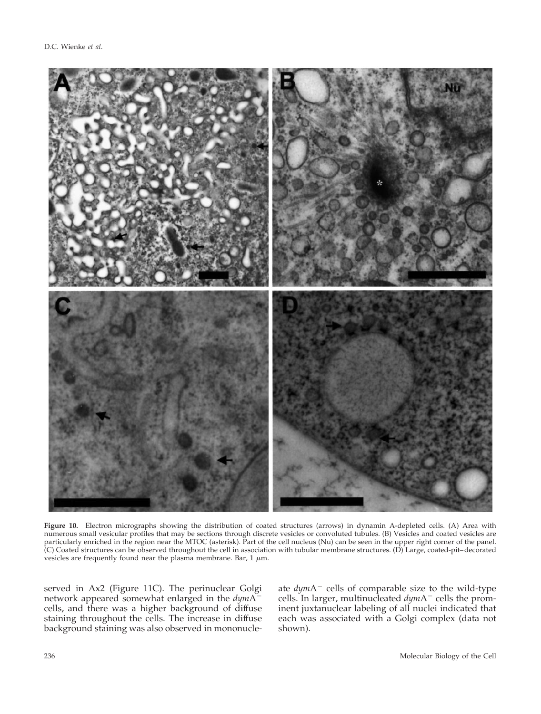

**Figure 10.** Electron micrographs showing the distribution of coated structures (arrows) in dynamin A-depleted cells. (A) Area with numerous small vesicular profiles that may be sections through discrete vesicles or convoluted tubules. (B) Vesicles and coated vesicles are particularly enriched in the region near the MTOC (asterisk). Part of the cell nucleus (Nu) can be seen in the upper right corner of the panel. (C) Coated structures can be observed throughout the cell in association with tubular membrane structures. (D) Large, coated-pit–decorated vesicles are frequently found near the plasma membrane. Bar,  $1 \mu m$ .

served in Ax2 (Figure 11C). The perinuclear Golgi network appeared somewhat enlarged in the  $\text{d}ymA^{-}$ cells, and there was a higher background of diffuse staining throughout the cells. The increase in diffuse background staining was also observed in mononucleate  $dynA^-$  cells of comparable size to the wild-type cells. In larger, multinucleated  $dymA^-$  cells the prominent juxtanuclear labeling of all nuclei indicated that each was associated with a Golgi complex (data not shown).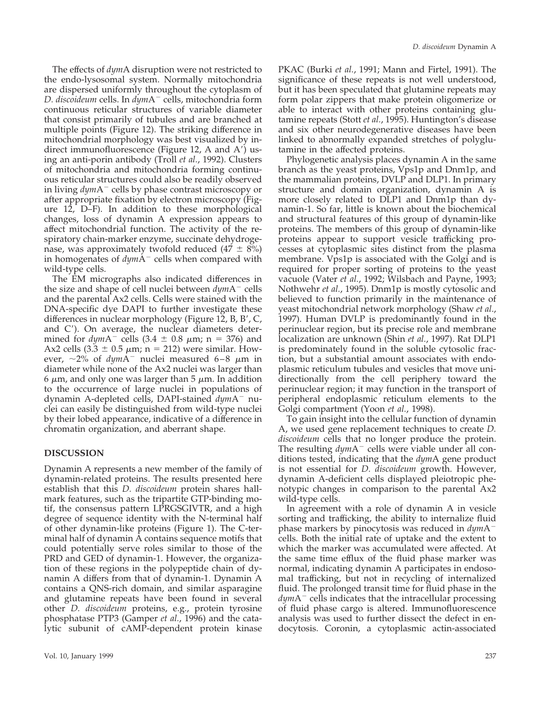The effects of *dym*A disruption were not restricted to the endo-lysosomal system. Normally mitochondria are dispersed uniformly throughout the cytoplasm of *D. discoideum* cells. In  $\frac{d}{dt}$  cells, mitochondria form continuous reticular structures of variable diameter that consist primarily of tubules and are branched at multiple points (Figure 12). The striking difference in mitochondrial morphology was best visualized by indirect immunofluorescence (Figure 12, A and  $A'$ ) using an anti-porin antibody (Troll *et al.*, 1992). Clusters of mitochondria and mitochondria forming continuous reticular structures could also be readily observed in living  $\frac{d\psi}{A}$  cells by phase contrast microscopy or after appropriate fixation by electron microscopy (Figure 12, D–F). In addition to these morphological changes, loss of dynamin A expression appears to affect mitochondrial function. The activity of the respiratory chain-marker enzyme, succinate dehydrogenase, was approximately twofold reduced  $(47 \pm 8\%)$ in homogenates of  $dyn<sup>-</sup>$  cells when compared with wild-type cells.

The EM micrographs also indicated differences in the size and shape of cell nuclei between  $dyn/A^-$  cells and the parental Ax2 cells. Cells were stained with the DNA-specific dye DAPI to further investigate these differences in nuclear morphology (Figure 12, B, B', C, and  $C'$ ). On average, the nuclear diameters determined for  $\frac{dym}{A}$  cells  $(3.4 \pm 0.8 \mu \text{m})$ ; n = 376) and Ax2 cells  $(3.3 \pm 0.5 \mu m; n = 212)$  were similar. However,  $\sim$ 2% of *dymA*<sup>-</sup> nuclei measured 6–8  $\mu$ m in diameter while none of the Ax2 nuclei was larger than 6  $\mu$ m, and only one was larger than 5  $\mu$ m. In addition to the occurrence of large nuclei in populations of dynamin A-depleted cells, DAPI-stained *dym*A<sup>-</sup> nuclei can easily be distinguished from wild-type nuclei by their lobed appearance, indicative of a difference in chromatin organization, and aberrant shape.

# **DISCUSSION**

Dynamin A represents a new member of the family of dynamin-related proteins. The results presented here establish that this *D. discoideum* protein shares hallmark features, such as the tripartite GTP-binding motif, the consensus pattern LPRGSGIVTR, and a high degree of sequence identity with the N-terminal half of other dynamin-like proteins (Figure 1). The C-terminal half of dynamin A contains sequence motifs that could potentially serve roles similar to those of the PRD and GED of dynamin-1. However, the organization of these regions in the polypeptide chain of dynamin A differs from that of dynamin-1. Dynamin A contains a QNS-rich domain, and similar asparagine and glutamine repeats have been found in several other *D. discoideum* proteins, e.g., protein tyrosine phosphatase PTP3 (Gamper *et al.*, 1996) and the catalytic subunit of cAMP-dependent protein kinase PKAC (Burki *et al.*, 1991; Mann and Firtel, 1991). The significance of these repeats is not well understood, but it has been speculated that glutamine repeats may form polar zippers that make protein oligomerize or able to interact with other proteins containing glutamine repeats (Stott *et al.*, 1995). Huntington's disease and six other neurodegenerative diseases have been linked to abnormally expanded stretches of polyglutamine in the affected proteins.

Phylogenetic analysis places dynamin A in the same branch as the yeast proteins, Vps1p and Dnm1p, and the mammalian proteins, DVLP and DLP1. In primary structure and domain organization, dynamin A is more closely related to DLP1 and Dnm1p than dynamin-1. So far, little is known about the biochemical and structural features of this group of dynamin-like proteins. The members of this group of dynamin-like proteins appear to support vesicle trafficking processes at cytoplasmic sites distinct from the plasma membrane. Vps1p is associated with the Golgi and is required for proper sorting of proteins to the yeast vacuole (Vater *et al.*, 1992; Wilsbach and Payne, 1993; Nothwehr *et al.*, 1995). Dnm1p is mostly cytosolic and believed to function primarily in the maintenance of yeast mitochondrial network morphology (Shaw *et al*., 1997). Human DVLP is predominantly found in the perinuclear region, but its precise role and membrane localization are unknown (Shin *et al.*, 1997). Rat DLP1 is predominately found in the soluble cytosolic fraction, but a substantial amount associates with endoplasmic reticulum tubules and vesicles that move unidirectionally from the cell periphery toward the perinuclear region; it may function in the transport of peripheral endoplasmic reticulum elements to the Golgi compartment (Yoon *et al.*, 1998).

To gain insight into the cellular function of dynamin A, we used gene replacement techniques to create *D. discoideum* cells that no longer produce the protein. The resulting  $dynA^-$  cells were viable under all conditions tested, indicating that the *dym*A gene product is not essential for *D. discoideum* growth. However, dynamin A-deficient cells displayed pleiotropic phenotypic changes in comparison to the parental Ax2 wild-type cells.

In agreement with a role of dynamin A in vesicle sorting and trafficking, the ability to internalize fluid phase markers by pinocytosis was reduced in *dym*A<sup>2</sup> cells. Both the initial rate of uptake and the extent to which the marker was accumulated were affected. At the same time efflux of the fluid phase marker was normal, indicating dynamin A participates in endosomal trafficking, but not in recycling of internalized fluid. The prolonged transit time for fluid phase in the dymA<sup>-</sup> cells indicates that the intracellular processing of fluid phase cargo is altered. Immunofluorescence analysis was used to further dissect the defect in endocytosis. Coronin, a cytoplasmic actin-associated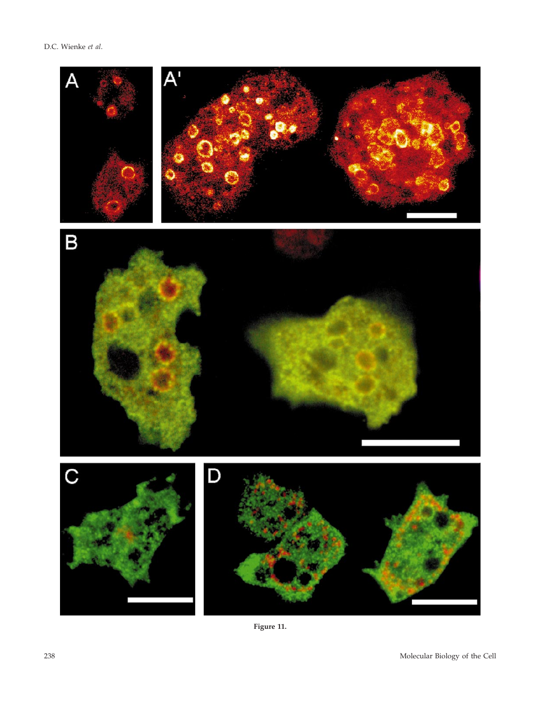

**Figure 11.**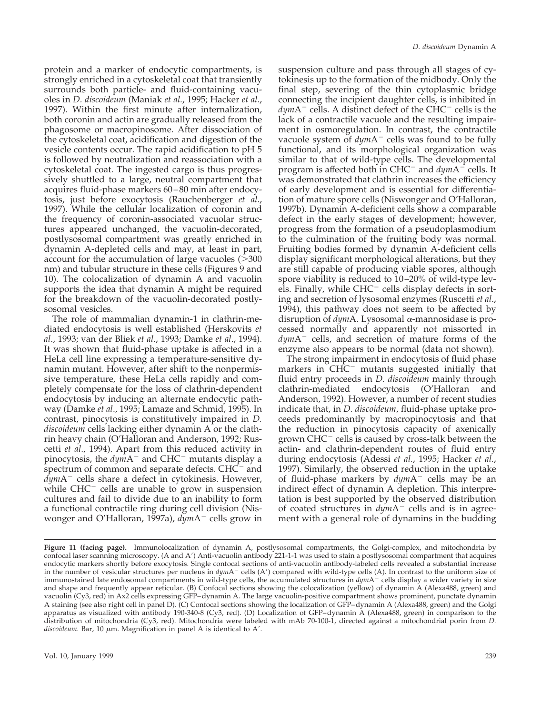*D. discoideum* Dynamin A

protein and a marker of endocytic compartments, is strongly enriched in a cytoskeletal coat that transiently surrounds both particle- and fluid-containing vacuoles in *D. discoideum* (Maniak *et al.*, 1995; Hacker *et al.*, 1997). Within the first minute after internalization, both coronin and actin are gradually released from the phagosome or macropinosome. After dissociation of the cytoskeletal coat, acidification and digestion of the vesicle contents occur. The rapid acidification to pH 5 is followed by neutralization and reassociation with a cytoskeletal coat. The ingested cargo is thus progressively shuttled to a large, neutral compartment that acquires fluid-phase markers 60–80 min after endocytosis, just before exocytosis (Rauchenberger *et al*., 1997). While the cellular localization of coronin and the frequency of coronin-associated vacuolar structures appeared unchanged, the vacuolin-decorated, postlysosomal compartment was greatly enriched in dynamin A-depleted cells and may, at least in part, account for the accumulation of large vacuoles  $(>\!\!300$ nm) and tubular structure in these cells (Figures 9 and 10). The colocalization of dynamin A and vacuolin supports the idea that dynamin A might be required for the breakdown of the vacuolin-decorated postlysosomal vesicles.

The role of mammalian dynamin-1 in clathrin-mediated endocytosis is well established (Herskovits *et al*., 1993; van der Bliek *et al*., 1993; Damke *et al*., 1994). It was shown that fluid-phase uptake is affected in a HeLa cell line expressing a temperature-sensitive dynamin mutant. However, after shift to the nonpermissive temperature, these HeLa cells rapidly and completely compensate for the loss of clathrin-dependent endocytosis by inducing an alternate endocytic pathway (Damke *et al*., 1995; Lamaze and Schmid, 1995). In contrast, pinocytosis is constitutively impaired in *D. discoideum* cells lacking either dynamin A or the clathrin heavy chain (O'Halloran and Anderson, 1992; Ruscetti *et al*., 1994). Apart from this reduced activity in pinocytosis, the *dym*A<sup>-</sup> and CHC<sup>-</sup> mutants display a spectrum of common and separate defects.  $CHC<sup>-</sup>$  and dymA<sup>-</sup> cells share a defect in cytokinesis. However, while  $CHC<sup>-</sup>$  cells are unable to grow in suspension cultures and fail to divide due to an inability to form a functional contractile ring during cell division (Niswonger and O'Halloran, 1997a),  $dynA^-$  cells grow in suspension culture and pass through all stages of cytokinesis up to the formation of the midbody. Only the final step, severing of the thin cytoplasmic bridge connecting the incipient daughter cells, is inhibited in dymA<sup>-</sup> cells. A distinct defect of the CHC<sup>-</sup> cells is the lack of a contractile vacuole and the resulting impairment in osmoregulation. In contrast, the contractile vacuole system of  $dyn<sup>-</sup>$  cells was found to be fully functional, and its morphological organization was similar to that of wild-type cells. The developmental program is affected both in CHC<sup>-</sup> and  $dyn/A$ <sup>-</sup> cells. It was demonstrated that clathrin increases the efficiency of early development and is essential for differentiation of mature spore cells (Niswonger and O'Halloran, 1997b). Dynamin A-deficient cells show a comparable defect in the early stages of development; however, progress from the formation of a pseudoplasmodium to the culmination of the fruiting body was normal. Fruiting bodies formed by dynamin A-deficient cells display significant morphological alterations, but they are still capable of producing viable spores, although spore viability is reduced to 10–20% of wild-type lev $e$ ls. Finally, while CHC $^-$  cells display defects in sorting and secretion of lysosomal enzymes (Ruscetti *et al*., 1994), this pathway does not seem to be affected by disruption of *dym*A. Lysosomal <sup>a</sup>-mannosidase is processed normally and apparently not missorted in dymA<sup>-</sup> cells, and secretion of mature forms of the enzyme also appears to be normal (data not shown).

The strong impairment in endocytosis of fluid phase markers in  $CHC^-$  mutants suggested initially that fluid entry proceeds in *D. discoideum* mainly through clathrin-mediated endocytosis (O'Halloran and Anderson, 1992). However, a number of recent studies indicate that, in *D. discoideum*, fluid-phase uptake proceeds predominantly by macropinocytosis and that the reduction in pinocytosis capacity of axenically grown  $CHC^-$  cells is caused by cross-talk between the actin- and clathrin-dependent routes of fluid entry during endocytosis (Adessi *et al.*, 1995; Hacker *et al.*, 1997). Similarly, the observed reduction in the uptake of fluid-phase markers by  $dynA^-$  cells may be an indirect effect of dynamin A depletion. This interpretation is best supported by the observed distribution of coated structures in  $dyn/A^-$  cells and is in agreement with a general role of dynamins in the budding

**Figure 11 (facing page).** Immunolocalization of dynamin A, postlysosomal compartments, the Golgi-complex, and mitochondria by confocal laser scanning microscopy. (A and A9) Anti-vacuolin antibody 221-1-1 was used to stain a postlysosomal compartment that acquires endocytic markers shortly before exocytosis. Single confocal sections of anti-vacuolin antibody-labeled cells revealed a substantial increase in the number of vesicular structures per nucleus in  $dyn/A^-$  cells (A') compared with wild-type cells (A). In contrast to the uniform size of immunostained late endosomal compartments in wild-type cells, the accumulated structures in  $dynA^-$  cells display a wider variety in size and shape and frequently appear reticular. (B) Confocal sections showing the colocalization (yellow) of dynamin A (Alexa488, green) and vacuolin (Cy3, red) in Ax2 cells expressing GFP–dynamin A. The large vacuolin-positive compartment shows prominent, punctate dynamin A staining (see also right cell in panel D). (C) Confocal sections showing the localization of GFP–dynamin A (Alexa488, green) and the Golgi apparatus as visualized with antibody 190-340-8 (Cy3, red). (D) Localization of GFP–dynamin A (Alexa488, green) in comparison to the distribution of mitochondria (Cy3, red). Mitochondria were labeled with mAb 70-100-1, directed against a mitochondrial porin from *D.*  $discoideum$ . Bar, 10  $\mu$ m. Magnification in panel A is identical to A'.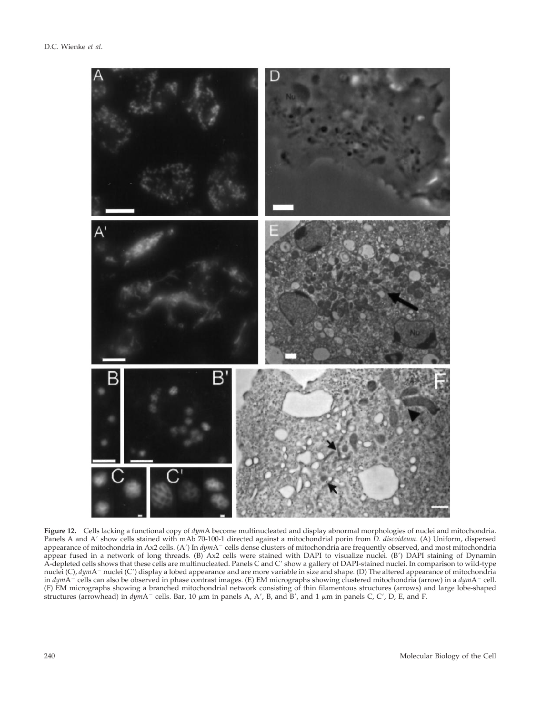

**Figure 12.** Cells lacking a functional copy of *dym*A become multinucleated and display abnormal morphologies of nuclei and mitochondria. Panels A and A9 show cells stained with mAb 70-100-1 directed against a mitochondrial porin from *D. discoideum*. (A) Uniform, dispersed appearance of mitochondria in Ax2 cells. (A') In *dym*A<sup>-</sup> cells dense clusters of mitochondria are frequently observed, and most mitochondria appear fused in a network of long threads. (B) Ax2 cells were stained with DAPI to visualize nuclei. (B') DAPI staining of Dynamin A-depleted cells shows that these cells are multinucleated. Panels C and C' show a gallery of DAPI-stained nuclei. In comparison to wild-type nuclei (C),  $dynA^-$  nuclei (C') display a lobed appearance and are more variable in size and shape. (D) The altered appearance of mitochondria in *dym*A<sup>-</sup> cells can also be observed in phase contrast images. (E) EM micrographs showing clustered mitochondria (arrow) in a *dym*A<sup>-</sup> cell. (F) EM micrographs showing a branched mitochondrial network consisting of thin filamentous structures (arrows) and large lobe-shaped structures (arrowhead) in  $dynA^-$  cells. Bar, 10  $\mu$ m in panels A, A', B, and B', and 1  $\mu$ m in panels C, C', D, E, and F.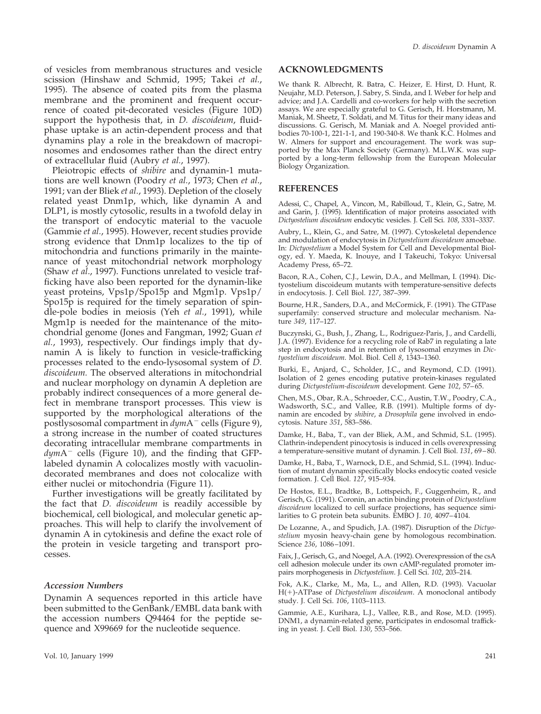of vesicles from membranous structures and vesicle scission (Hinshaw and Schmid, 1995; Takei *et al.*, 1995). The absence of coated pits from the plasma membrane and the prominent and frequent occurrence of coated pit-decorated vesicles (Figure 10D) support the hypothesis that, in *D. discoideum*, fluidphase uptake is an actin-dependent process and that dynamins play a role in the breakdown of macropinosomes and endosomes rather than the direct entry of extracellular fluid (Aubry *et al.*, 1997).

Pleiotropic effects of *shibire* and dynamin-1 mutations are well known (Poodry *et al.*, 1973; Chen *et al*., 1991; van der Bliek *et al.*, 1993). Depletion of the closely related yeast Dnm1p, which, like dynamin A and DLP1, is mostly cytosolic, results in a twofold delay in the transport of endocytic material to the vacuole (Gammie *et al.*, 1995). However, recent studies provide strong evidence that Dnm1p localizes to the tip of mitochondria and functions primarily in the maintenance of yeast mitochondrial network morphology (Shaw *et al*., 1997). Functions unrelated to vesicle trafficking have also been reported for the dynamin-like yeast proteins, Vps1p/Spo15p and Mgm1p. Vps1p/ Spo15p is required for the timely separation of spindle-pole bodies in meiosis (Yeh *et al.*, 1991), while Mgm1p is needed for the maintenance of the mitochondrial genome (Jones and Fangman, 1992; Guan *et al.*, 1993), respectively. Our findings imply that dynamin A is likely to function in vesicle-trafficking processes related to the endo-lysosomal system of *D. discoideum.* The observed alterations in mitochondrial and nuclear morphology on dynamin A depletion are probably indirect consequences of a more general defect in membrane transport processes. This view is supported by the morphological alterations of the postlysosomal compartment in  $\frac{d}{dx}$ <sup>-</sup> cells (Figure 9), a strong increase in the number of coated structures decorating intracellular membrane compartments in dymA<sup>-</sup> cells (Figure 10), and the finding that GFPlabeled dynamin A colocalizes mostly with vacuolindecorated membranes and does not colocalize with either nuclei or mitochondria (Figure 11).

Further investigations will be greatly facilitated by the fact that *D. discoideum* is readily accessible by biochemical, cell biological, and molecular genetic approaches. This will help to clarify the involvement of dynamin A in cytokinesis and define the exact role of the protein in vesicle targeting and transport processes.

#### *Accession Numbers*

Dynamin A sequences reported in this article have been submitted to the GenBank/EMBL data bank with the accession numbers Q94464 for the peptide sequence and X99669 for the nucleotide sequence.

# **ACKNOWLEDGMENTS**

We thank R. Albrecht, R. Batra, C. Heizer, E. Hirst, D. Hunt, R. Neujahr, M.D. Peterson, J. Sabry, S. Sinda, and I. Weber for help and advice; and J.A. Cardelli and co-workers for help with the secretion assays. We are especially grateful to G. Gerisch, H. Horstmann, M. Maniak, M. Sheetz, T. Soldati, and M. Titus for their many ideas and discussions. G. Gerisch, M. Maniak and A. Noegel provided antibodies 70-100-1, 221-1-1, and 190-340-8. We thank K.C. Holmes and W. Almers for support and encouragement. The work was supported by the Max Planck Society (Germany). M.L.W.K. was supported by a long-term fellowship from the European Molecular Biology Organization.

# **REFERENCES**

Adessi, C., Chapel, A., Vincon, M., Rabilloud, T., Klein, G., Satre, M. and Garin, J. (1995). Identification of major proteins associated with *Dictyostelium discoideum* endocytic vesicles. J. Cell Sci. *108*, 3331–3337.

Aubry, L., Klein, G., and Satre, M. (1997). Cytoskeletal dependence and modulation of endocytosis in *Dictyostelium discoideum* amoebae. In: *Dictyostelium* a Model System for Cell and Developmental Biology, ed. Y. Maeda, K. Inouye, and I Takeuchi, Tokyo: Universal Academy Press, 65–72.

Bacon, R.A., Cohen, C.J., Lewin, D.A., and Mellman, I. (1994). Dictyostelium discoideum mutants with temperature-sensitive defects in endocytosis. J. Cell Biol. *127*, 387–399.

Bourne, H.R., Sanders, D.A., and McCormick, F. (1991). The GTPase superfamily: conserved structure and molecular mechanism. Nature *349*, 117–127.

Buczynski, G., Bush, J., Zhang, L., Rodriguez-Paris, J., and Cardelli, J.A. (1997). Evidence for a recycling role of Rab7 in regulating a late step in endocytosis and in retention of lysosomal enzymes in *Dictyostelium discoideum*. Mol. Biol. Cell *8*, 1343–1360.

Burki, E., Anjard, C., Scholder, J.C., and Reymond, C.D. (1991). Isolation of 2 genes encoding putative protein-kinases regulated during *Dictyostelium-discoideum* development. Gene *102*, 57–65.

Chen, M.S., Obar, R.A., Schroeder, C.C., Austin, T.W., Poodry, C.A., Wadsworth, S.C., and Vallee, R.B. (1991). Multiple forms of dynamin are encoded by *shibire*, a *Drosophila* gene involved in endocytosis. Nature *351*, 583–586.

Damke, H., Baba, T., van der Bliek, A.M., and Schmid, S.L. (1995). Clathrin-independent pinocytosis is induced in cells overexpressing a temperature-sensitive mutant of dynamin. J. Cell Biol. *131*, 69–80.

Damke, H., Baba, T., Warnock, D.E., and Schmid, S.L. (1994). Induction of mutant dynamin specifically blocks endocytic coated vesicle formation. J. Cell Biol. *127*, 915–934.

De Hostos, E.L., Bradtke, B., Lottspeich, F., Guggenheim, R., and Gerisch, G. (1991). Coronin, an actin binding protein of *Dictyostelium discoideum* localized to cell surface projections, has sequence similarities to G protein beta subunits. EMBO J. *10*, 4097–4104.

De Lozanne, A., and Spudich, J.A. (1987). Disruption of the *Dictyostelium* myosin heavy-chain gene by homologous recombination. Science *236*, 1086–1091.

Faix, J., Gerisch, G., and Noegel, A.A. (1992). Overexpression of the csA cell adhesion molecule under its own cAMP-regulated promoter impairs morphogenesis in *Dictyostelium*. J. Cell Sci. *102*, 203–214.

Fok, A.K., Clarke, M., Ma, L., and Allen, R.D. (1993). Vacuolar H(1)-ATPase of *Dictyostelium discoideum*. A monoclonal antibody study. J. Cell Sci. *106*, 1103–1113.

Gammie, A.E., Kurihara, L.J., Vallee, R.B., and Rose, M.D. (1995). DNM1, a dynamin-related gene, participates in endosomal trafficking in yeast. J. Cell Biol. *130*, 553–566.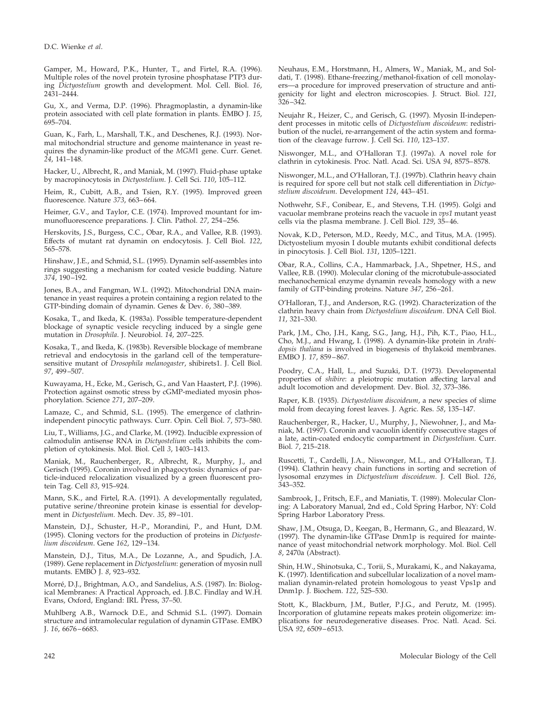D.C. Wienke *et al*.

Gamper, M., Howard, P.K., Hunter, T., and Firtel, R.A. (1996). Multiple roles of the novel protein tyrosine phosphatase PTP3 during *Dictyostelium* growth and development. Mol. Cell. Biol. *16*, 2431–2444.

Gu, X., and Verma, D.P. (1996). Phragmoplastin, a dynamin-like protein associated with cell plate formation in plants. EMBO J. *15*,  $695 - 704$ 

Guan, K., Farh, L., Marshall, T.K., and Deschenes, R.J. (1993). Normal mitochondrial structure and genome maintenance in yeast requires the dynamin-like product of the *MGM*1 gene. Curr. Genet. *24*, 141–148.

Hacker, U., Albrecht, R., and Maniak, M. (1997). Fluid-phase uptake by macropinocytosis in *Dictyostelium*. J. Cell Sci. *110*, 105–112.

Heim, R., Cubitt, A.B., and Tsien, R.Y. (1995). Improved green fluorescence. Nature *373*, 663–664.

Heimer, G.V., and Taylor, C.E. (1974). Improved mountant for immunofluorescence preparations. J. Clin. Pathol. *27*, 254–256.

Herskovits, J.S., Burgess, C.C., Obar, R.A., and Vallee, R.B. (1993). Effects of mutant rat dynamin on endocytosis. J. Cell Biol. *122*, 565–578.

Hinshaw, J.E., and Schmid, S.L. (1995). Dynamin self-assembles into rings suggesting a mechanism for coated vesicle budding. Nature *374*, 190–192.

Jones, B.A., and Fangman, W.L. (1992). Mitochondrial DNA maintenance in yeast requires a protein containing a region related to the GTP-binding domain of dynamin. Genes & Dev. *6*, 380–389.

Kosaka, T., and Ikeda, K. (1983a). Possible temperature-dependent blockage of synaptic vesicle recycling induced by a single gene mutation in *Drosophila*. J. Neurobiol. *14*, 207–225.

Kosaka, T., and Ikeda, K. (1983b). Reversible blockage of membrane retrieval and endocytosis in the garland cell of the temperaturesensitive mutant of *Drosophila melanogaster*, shibirets1. J. Cell Biol. *97*, 499–507.

Kuwayama, H., Ecke, M., Gerisch, G., and Van Haastert, P.J. (1996). Protection against osmotic stress by cGMP-mediated myosin phosphorylation. Science *271*, 207–209.

Lamaze, C., and Schmid, S.L. (1995). The emergence of clathrinindependent pinocytic pathways. Curr. Opin. Cell Biol. *7*, 573–580.

Liu, T., Williams, J.G., and Clarke, M. (1992). Inducible expression of calmodulin antisense RNA in *Dictyostelium* cells inhibits the completion of cytokinesis. Mol. Biol. Cell *3*, 1403–1413.

Maniak, M., Rauchenberger, R., Albrecht, R., Murphy, J., and Gerisch (1995). Coronin involved in phagocytosis: dynamics of particle-induced relocalization visualized by a green fluorescent protein Tag. Cell *83*, 915–924.

Mann, S.K., and Firtel, R.A. (1991). A developmentally regulated, putative serine/threonine protein kinase is essential for development in *Dictyostelium.* Mech. Dev. *35*, 89–101.

Manstein, D.J., Schuster, H.-P., Morandini, P., and Hunt, D.M. (1995). Cloning vectors for the production of proteins in *Dictyostelium discoideum*. Gene *162*, 129–134.

Manstein, D.J., Titus, M.A., De Lozanne, A., and Spudich, J.A. (1989). Gene replacement in *Dictyostelium*: generation of myosin null mutants. EMBO J. *8*, 923–932.

Morré, D.J., Brightman, A.O., and Sandelius, A.S. (1987). In: Biological Membranes: A Practical Approach, ed. J.B.C. Findlay and W.H. Evans, Oxford, England: IRL Press, 37–50.

Muhlberg A.B., Warnock D.E., and Schmid S.L. (1997). Domain structure and intramolecular regulation of dynamin GTPase. EMBO J. *16*, 6676–6683.

Neuhaus, E.M., Horstmann, H., Almers, W., Maniak, M., and Soldati, T. (1998). Ethane-freezing/methanol-fixation of cell monolayers—a procedure for improved preservation of structure and antigenicity for light and electron microscopies. J. Struct. Biol. *121*,  $326 - 342.$ 

Neujahr R., Heizer, C., and Gerisch, G. (1997). Myosin II-independent processes in mitotic cells of *Dictyostelium discoideum*: redistribution of the nuclei, re-arrangement of the actin system and formation of the cleavage furrow. J. Cell Sci. *110*, 123–137.

Niswonger, M.L., and O'Halloran T.J. (1997a). A novel role for clathrin in cytokinesis. Proc. Natl. Acad. Sci. USA *94*, 8575–8578.

Niswonger, M.L., and O'Halloran, T.J. (1997b). Clathrin heavy chain is required for spore cell but not stalk cell differentiation in *Dictyostelium discoideum*. Development *124*, 443–451.

Nothwehr, S.F., Conibear, E., and Stevens, T.H. (1995). Golgi and vacuolar membrane proteins reach the vacuole in *vps1* mutant yeast cells via the plasma membrane. J. Cell Biol. *129*, 35–46.

Novak, K.D., Peterson, M.D., Reedy, M.C., and Titus, M.A. (1995). Dictyostelium myosin I double mutants exhibit conditional defects in pinocytosis. J. Cell Biol. *131*, 1205–1221.

Obar, R.A., Collins, C.A., Hammarback, J.A., Shpetner, H.S., and Vallee, R.B. (1990). Molecular cloning of the microtubule-associated mechanochemical enzyme dynamin reveals homology with a new family of GTP-binding proteins. Nature *347*, 256–261.

O'Halloran, T.J., and Anderson, R.G. (1992). Characterization of the clathrin heavy chain from *Dictyostelium discoideum*. DNA Cell Biol. *11*, 321–330.

Park, J.M., Cho, J.H., Kang, S.G., Jang, H.J., Pih, K.T., Piao, H.L., Cho, M.J., and Hwang, I. (1998). A dynamin-like protein in *Arabidopsis thaliana* is involved in biogenesis of thylakoid membranes. EMBO J. *17*, 859–867.

Poodry, C.A., Hall, L., and Suzuki, D.T. (1973). Developmental properties of *shibire*: a pleiotropic mutation affecting larval and adult locomotion and development. Dev. Biol. *32*, 373–386.

Raper, K.B. (1935). *Dictyostelium discoideum*, a new species of slime mold from decaying forest leaves. J. Agric. Res. *58*, 135–147.

Rauchenberger, R., Hacker, U., Murphy, J., Niewohner, J., and Maniak, M. (1997). Coronin and vacuolin identify consecutive stages of a late, actin-coated endocytic compartment in *Dictyostelium*. Curr. Biol. *7*, 215–218.

Ruscetti, T., Cardelli, J.A., Niswonger, M.L., and O'Halloran, T.J. (1994). Clathrin heavy chain functions in sorting and secretion of lysosomal enzymes in *Dictyostelium discoideum*. J. Cell Biol. *126*, 343–352.

Sambrook, J., Fritsch, E.F., and Maniatis, T. (1989). Molecular Cloning: A Laboratory Manual, 2nd ed., Cold Spring Harbor, NY: Cold Spring Harbor Laboratory Press.

Shaw, J.M., Otsuga, D., Keegan, B., Hermann, G., and Bleazard, W. (1997). The dynamin-like GTPase Dnm1p is required for maintenance of yeast mitochondrial network morphology. Mol. Biol. Cell *8*, 2470a (Abstract).

Shin, H.W., Shinotsuka, C., Torii, S., Murakami, K., and Nakayama, K. (1997). Identification and subcellular localization of a novel mammalian dynamin-related protein homologous to yeast Vps1p and Dnm1p. J. Biochem. *122*, 525–530.

Stott, K., Blackburn, J.M., Butler, P.J.G., and Perutz, M. (1995). Incorporation of glutamine repeats makes protein oligomerize: implications for neurodegenerative diseases. Proc. Natl. Acad. Sci. USA *92*, 6509–6513.